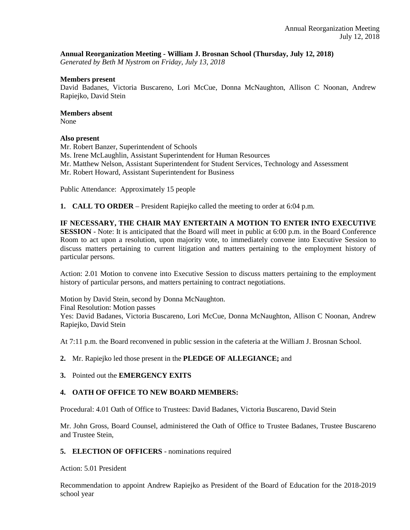### **Annual Reorganization Meeting - William J. Brosnan School (Thursday, July 12, 2018)**

*Generated by Beth M Nystrom on Friday, July 13, 2018*

### **Members present**

David Badanes, Victoria Buscareno, Lori McCue, Donna McNaughton, Allison C Noonan, Andrew Rapiejko, David Stein

### **Members absent**

None

### **Also present**

Mr. Robert Banzer, Superintendent of Schools Ms. Irene McLaughlin, Assistant Superintendent for Human Resources Mr. Matthew Nelson, Assistant Superintendent for Student Services, Technology and Assessment Mr. Robert Howard, Assistant Superintendent for Business

Public Attendance: Approximately 15 people

**1. CALL TO ORDER** – President Rapiejko called the meeting to order at 6:04 p.m.

# **IF NECESSARY, THE CHAIR MAY ENTERTAIN A MOTION TO ENTER INTO EXECUTIVE**

**SESSION** - Note: It is anticipated that the Board will meet in public at 6:00 p.m. in the Board Conference Room to act upon a resolution, upon majority vote, to immediately convene into Executive Session to discuss matters pertaining to current litigation and matters pertaining to the employment history of particular persons.

Action: 2.01 Motion to convene into Executive Session to discuss matters pertaining to the employment history of particular persons, and matters pertaining to contract negotiations.

Motion by David Stein, second by Donna McNaughton. Final Resolution: Motion passes Yes: David Badanes, Victoria Buscareno, Lori McCue, Donna McNaughton, Allison C Noonan, Andrew Rapiejko, David Stein

At 7:11 p.m. the Board reconvened in public session in the cafeteria at the William J. Brosnan School.

### **2.** Mr. Rapiejko led those present in the **PLEDGE OF ALLEGIANCE;** and

**3.** Pointed out the **EMERGENCY EXITS** 

### **4. OATH OF OFFICE TO NEW BOARD MEMBERS:**

Procedural: 4.01 Oath of Office to Trustees: David Badanes, Victoria Buscareno, David Stein

Mr. John Gross, Board Counsel, administered the Oath of Office to Trustee Badanes, Trustee Buscareno and Trustee Stein,

### **5. ELECTION OF OFFICERS** - nominations required

Action: 5.01 President

Recommendation to appoint Andrew Rapiejko as President of the Board of Education for the 2018-2019 school year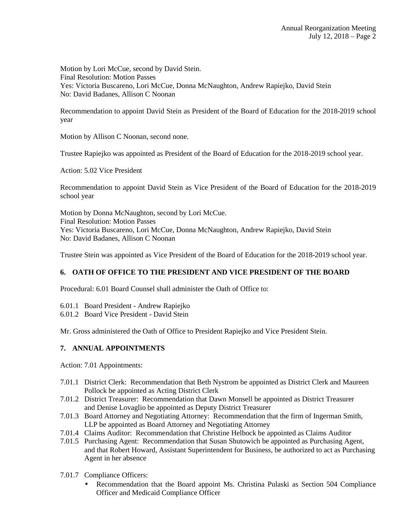Motion by Lori McCue, second by David Stein. Final Resolution: Motion Passes Yes: Victoria Buscareno, Lori McCue, Donna McNaughton, Andrew Rapiejko, David Stein No: David Badanes, Allison C Noonan

Recommendation to appoint David Stein as President of the Board of Education for the 2018-2019 school year

Motion by Allison C Noonan, second none.

Trustee Rapiejko was appointed as President of the Board of Education for the 2018-2019 school year.

Action: 5.02 Vice President

Recommendation to appoint David Stein as Vice President of the Board of Education for the 2018-2019 school year

Motion by Donna McNaughton, second by Lori McCue. Final Resolution: Motion Passes Yes: Victoria Buscareno, Lori McCue, Donna McNaughton, Andrew Rapiejko, David Stein No: David Badanes, Allison C Noonan

Trustee Stein was appointed as Vice President of the Board of Education for the 2018-2019 school year.

# **6. OATH OF OFFICE TO THE PRESIDENT AND VICE PRESIDENT OF THE BOARD**

Procedural: 6.01 Board Counsel shall administer the Oath of Office to:

- 6.01.1 Board President Andrew Rapiejko
- 6.01.2 Board Vice President David Stein

Mr. Gross administered the Oath of Office to President Rapiejko and Vice President Stein.

# **7. ANNUAL APPOINTMENTS**

Action: 7.01 Appointments:

- 7.01.1 District Clerk: Recommendation that Beth Nystrom be appointed as District Clerk and Maureen Pollock be appointed as Acting District Clerk
- 7.01.2 District Treasurer: Recommendation that Dawn Monsell be appointed as District Treasurer and Denise Lovaglio be appointed as Deputy District Treasurer
- 7.01.3 Board Attorney and Negotiating Attorney: Recommendation that the firm of Ingerman Smith, LLP be appointed as Board Attorney and Negotiating Attorney
- 7.01.4 Claims Auditor: Recommendation that Christine Helbock be appointed as Claims Auditor
- 7.01.5 Purchasing Agent: Recommendation that Susan Shutowich be appointed as Purchasing Agent, and that Robert Howard, Assistant Superintendent for Business, be authorized to act as Purchasing Agent in her absence
- 7.01.7 Compliance Officers:
	- Recommendation that the Board appoint Ms. Christina Pulaski as Section 504 Compliance Officer and Medicaid Compliance Officer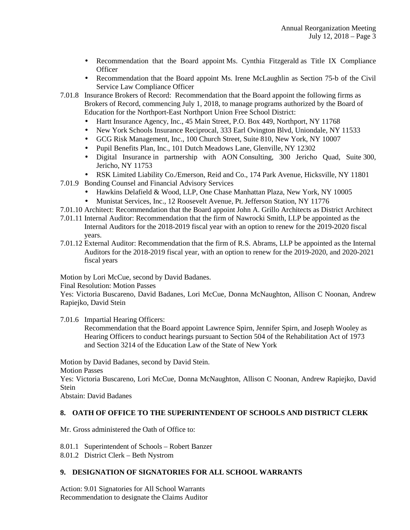- Recommendation that the Board appoint Ms. Cynthia Fitzgerald as Title IX Compliance **Officer**
- Recommendation that the Board appoint Ms. Irene McLaughlin as Section 75-b of the Civil Service Law Compliance Officer
- 7.01.8 Insurance Brokers of Record: Recommendation that the Board appoint the following firms as Brokers of Record, commencing July 1, 2018, to manage programs authorized by the Board of Education for the Northport-East Northport Union Free School District:
	- Hartt Insurance Agency, Inc., 45 Main Street, P.O. Box 449, Northport, NY 11768
	- New York Schools Insurance Reciprocal, 333 Earl Ovington Blvd, Uniondale, NY 11533
	- GCG Risk Management, Inc., 100 Church Street, Suite 810, New York, NY 10007
	- Pupil Benefits Plan, Inc., 101 Dutch Meadows Lane, Glenville, NY 12302
	- Digital Insurance in partnership with AON Consulting, 300 Jericho Quad, Suite 300, Jericho, NY 11753
- RSK Limited Liability Co./Emerson, Reid and Co., 174 Park Avenue, Hicksville, NY 11801 7.01.9 Bonding Counsel and Financial Advisory Services
	- Hawkins Delafield & Wood, LLP, One Chase Manhattan Plaza, New York, NY 10005
	- Munistat Services, Inc., 12 Roosevelt Avenue, Pt. Jefferson Station, NY 11776
- 7.01.10 Architect: Recommendation that the Board appoint John A. Grillo Architects as District Architect
- 7.01.11 Internal Auditor: Recommendation that the firm of Nawrocki Smith, LLP be appointed as the Internal Auditors for the 2018-2019 fiscal year with an option to renew for the 2019-2020 fiscal years.
- 7.01.12 External Auditor: Recommendation that the firm of R.S. Abrams, LLP be appointed as the Internal Auditors for the 2018-2019 fiscal year, with an option to renew for the 2019-2020, and 2020-2021 fiscal years

Motion by Lori McCue, second by David Badanes.

Final Resolution: Motion Passes

Yes: Victoria Buscareno, David Badanes, Lori McCue, Donna McNaughton, Allison C Noonan, Andrew Rapiejko, David Stein

7.01.6 Impartial Hearing Officers:

 Recommendation that the Board appoint Lawrence Spirn, Jennifer Spirn, and Joseph Wooley as Hearing Officers to conduct hearings pursuant to Section 504 of the Rehabilitation Act of 1973 and Section 3214 of the Education Law of the State of New York

Motion by David Badanes, second by David Stein.

Motion Passes

Yes: Victoria Buscareno, Lori McCue, Donna McNaughton, Allison C Noonan, Andrew Rapiejko, David Stein

Abstain: David Badanes

# **8. OATH OF OFFICE TO THE SUPERINTENDENT OF SCHOOLS AND DISTRICT CLERK**

Mr. Gross administered the Oath of Office to:

8.01.1 Superintendent of Schools – Robert Banzer

8.01.2 District Clerk – Beth Nystrom

### **9. DESIGNATION OF SIGNATORIES FOR ALL SCHOOL WARRANTS**

Action: 9.01 Signatories for All School Warrants Recommendation to designate the Claims Auditor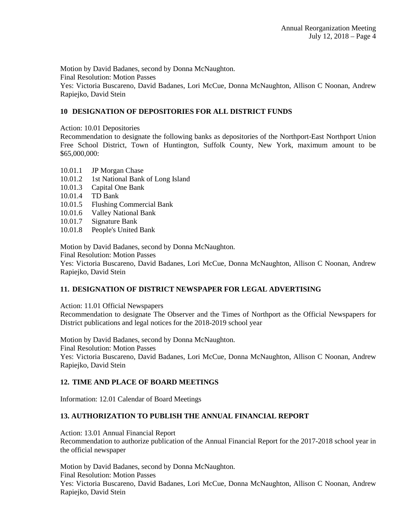# **10 DESIGNATION OF DEPOSITORIES FOR ALL DISTRICT FUNDS**

Action: 10.01 Depositories

Recommendation to designate the following banks as depositories of the Northport-East Northport Union Free School District, Town of Huntington, Suffolk County, New York, maximum amount to be \$65,000,000:

- 10.01.1 JP Morgan Chase
- 10.01.2 1st National Bank of Long Island
- 10.01.3 Capital One Bank
- 10.01.4 TD Bank
- 10.01.5 Flushing Commercial Bank
- 10.01.6 Valley National Bank
- 10.01.7 Signature Bank
- 10.01.8 People's United Bank

Motion by David Badanes, second by Donna McNaughton.

Final Resolution: Motion Passes

Yes: Victoria Buscareno, David Badanes, Lori McCue, Donna McNaughton, Allison C Noonan, Andrew Rapiejko, David Stein

### **11. DESIGNATION OF DISTRICT NEWSPAPER FOR LEGAL ADVERTISING**

Action: 11.01 Official Newspapers Recommendation to designate The Observer and the Times of Northport as the Official Newspapers for District publications and legal notices for the 2018-2019 school year

Motion by David Badanes, second by Donna McNaughton. Final Resolution: Motion Passes Yes: Victoria Buscareno, David Badanes, Lori McCue, Donna McNaughton, Allison C Noonan, Andrew Rapiejko, David Stein

### **12. TIME AND PLACE OF BOARD MEETINGS**

Information: 12.01 Calendar of Board Meetings

### **13. AUTHORIZATION TO PUBLISH THE ANNUAL FINANCIAL REPORT**

Action: 13.01 Annual Financial Report

Recommendation to authorize publication of the Annual Financial Report for the 2017-2018 school year in the official newspaper

Motion by David Badanes, second by Donna McNaughton. Final Resolution: Motion Passes Yes: Victoria Buscareno, David Badanes, Lori McCue, Donna McNaughton, Allison C Noonan, Andrew Rapiejko, David Stein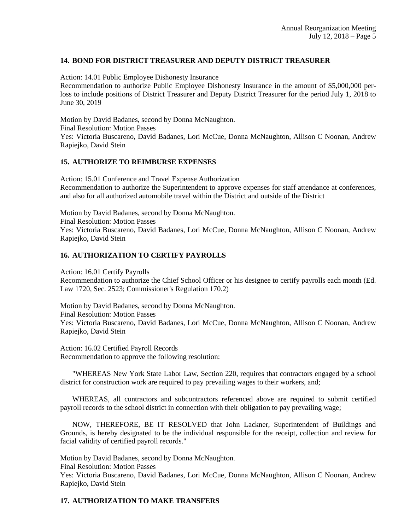## **14. BOND FOR DISTRICT TREASURER AND DEPUTY DISTRICT TREASURER**

Action: 14.01 Public Employee Dishonesty Insurance

Recommendation to authorize Public Employee Dishonesty Insurance in the amount of \$5,000,000 perloss to include positions of District Treasurer and Deputy District Treasurer for the period July 1, 2018 to June 30, 2019

Motion by David Badanes, second by Donna McNaughton. Final Resolution: Motion Passes Yes: Victoria Buscareno, David Badanes, Lori McCue, Donna McNaughton, Allison C Noonan, Andrew Rapiejko, David Stein

# **15. AUTHORIZE TO REIMBURSE EXPENSES**

Action: 15.01 Conference and Travel Expense Authorization Recommendation to authorize the Superintendent to approve expenses for staff attendance at conferences, and also for all authorized automobile travel within the District and outside of the District

Motion by David Badanes, second by Donna McNaughton. Final Resolution: Motion Passes Yes: Victoria Buscareno, David Badanes, Lori McCue, Donna McNaughton, Allison C Noonan, Andrew Rapiejko, David Stein

## **16. AUTHORIZATION TO CERTIFY PAYROLLS**

Action: 16.01 Certify Payrolls Recommendation to authorize the Chief School Officer or his designee to certify payrolls each month (Ed. Law 1720, Sec. 2523; Commissioner's Regulation 170.2)

Motion by David Badanes, second by Donna McNaughton. Final Resolution: Motion Passes Yes: Victoria Buscareno, David Badanes, Lori McCue, Donna McNaughton, Allison C Noonan, Andrew Rapiejko, David Stein

Action: 16.02 Certified Payroll Records Recommendation to approve the following resolution:

 "WHEREAS New York State Labor Law, Section 220, requires that contractors engaged by a school district for construction work are required to pay prevailing wages to their workers, and;

 WHEREAS, all contractors and subcontractors referenced above are required to submit certified payroll records to the school district in connection with their obligation to pay prevailing wage;

 NOW, THEREFORE, BE IT RESOLVED that John Lackner, Superintendent of Buildings and Grounds, is hereby designated to be the individual responsible for the receipt, collection and review for facial validity of certified payroll records."

Motion by David Badanes, second by Donna McNaughton.

Final Resolution: Motion Passes

Yes: Victoria Buscareno, David Badanes, Lori McCue, Donna McNaughton, Allison C Noonan, Andrew Rapiejko, David Stein

# **17. AUTHORIZATION TO MAKE TRANSFERS**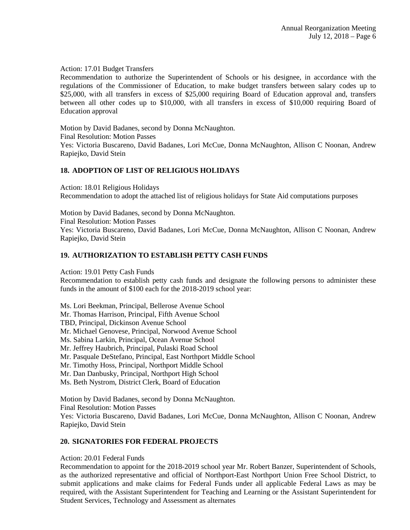Action: 17.01 Budget Transfers

Recommendation to authorize the Superintendent of Schools or his designee, in accordance with the regulations of the Commissioner of Education, to make budget transfers between salary codes up to \$25,000, with all transfers in excess of \$25,000 requiring Board of Education approval and, transfers between all other codes up to \$10,000, with all transfers in excess of \$10,000 requiring Board of Education approval

Motion by David Badanes, second by Donna McNaughton.

Final Resolution: Motion Passes Yes: Victoria Buscareno, David Badanes, Lori McCue, Donna McNaughton, Allison C Noonan, Andrew Rapiejko, David Stein

### **18. ADOPTION OF LIST OF RELIGIOUS HOLIDAYS**

Action: 18.01 Religious Holidays Recommendation to adopt the attached list of religious holidays for State Aid computations purposes

Motion by David Badanes, second by Donna McNaughton. Final Resolution: Motion Passes Yes: Victoria Buscareno, David Badanes, Lori McCue, Donna McNaughton, Allison C Noonan, Andrew Rapiejko, David Stein

## **19. AUTHORIZATION TO ESTABLISH PETTY CASH FUNDS**

Action: 19.01 Petty Cash Funds

Recommendation to establish petty cash funds and designate the following persons to administer these funds in the amount of \$100 each for the 2018-2019 school year:

| Ms. Lori Beekman, Principal, Bellerose Avenue School            |
|-----------------------------------------------------------------|
| Mr. Thomas Harrison, Principal, Fifth Avenue School             |
| TBD, Principal, Dickinson Avenue School                         |
| Mr. Michael Genovese, Principal, Norwood Avenue School          |
| Ms. Sabina Larkin, Principal, Ocean Avenue School               |
| Mr. Jeffrey Haubrich, Principal, Pulaski Road School            |
| Mr. Pasquale DeStefano, Principal, East Northport Middle School |
| Mr. Timothy Hoss, Principal, Northport Middle School            |
| Mr. Dan Danbusky, Principal, Northport High School              |
| Ms. Beth Nystrom, District Clerk, Board of Education            |

Motion by David Badanes, second by Donna McNaughton. Final Resolution: Motion Passes Yes: Victoria Buscareno, David Badanes, Lori McCue, Donna McNaughton, Allison C Noonan, Andrew Rapiejko, David Stein

### **20. SIGNATORIES FOR FEDERAL PROJECTS**

Action: 20.01 Federal Funds

Recommendation to appoint for the 2018-2019 school year Mr. Robert Banzer, Superintendent of Schools, as the authorized representative and official of Northport-East Northport Union Free School District, to submit applications and make claims for Federal Funds under all applicable Federal Laws as may be required, with the Assistant Superintendent for Teaching and Learning or the Assistant Superintendent for Student Services, Technology and Assessment as alternates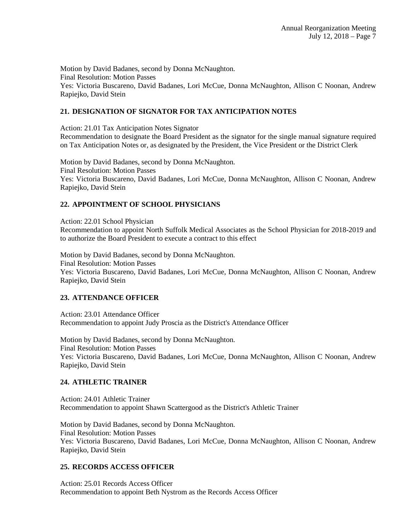## **21. DESIGNATION OF SIGNATOR FOR TAX ANTICIPATION NOTES**

Action: 21.01 Tax Anticipation Notes Signator Recommendation to designate the Board President as the signator for the single manual signature required on Tax Anticipation Notes or, as designated by the President, the Vice President or the District Clerk

Motion by David Badanes, second by Donna McNaughton. Final Resolution: Motion Passes Yes: Victoria Buscareno, David Badanes, Lori McCue, Donna McNaughton, Allison C Noonan, Andrew Rapiejko, David Stein

# **22. APPOINTMENT OF SCHOOL PHYSICIANS**

Action: 22.01 School Physician Recommendation to appoint North Suffolk Medical Associates as the School Physician for 2018-2019 and to authorize the Board President to execute a contract to this effect

Motion by David Badanes, second by Donna McNaughton. Final Resolution: Motion Passes Yes: Victoria Buscareno, David Badanes, Lori McCue, Donna McNaughton, Allison C Noonan, Andrew Rapiejko, David Stein

# **23. ATTENDANCE OFFICER**

Action: 23.01 Attendance Officer Recommendation to appoint Judy Proscia as the District's Attendance Officer

Motion by David Badanes, second by Donna McNaughton. Final Resolution: Motion Passes Yes: Victoria Buscareno, David Badanes, Lori McCue, Donna McNaughton, Allison C Noonan, Andrew Rapiejko, David Stein

# **24. ATHLETIC TRAINER**

Action: 24.01 Athletic Trainer Recommendation to appoint Shawn Scattergood as the District's Athletic Trainer

Motion by David Badanes, second by Donna McNaughton. Final Resolution: Motion Passes Yes: Victoria Buscareno, David Badanes, Lori McCue, Donna McNaughton, Allison C Noonan, Andrew Rapiejko, David Stein

### **25. RECORDS ACCESS OFFICER**

Action: 25.01 Records Access Officer Recommendation to appoint Beth Nystrom as the Records Access Officer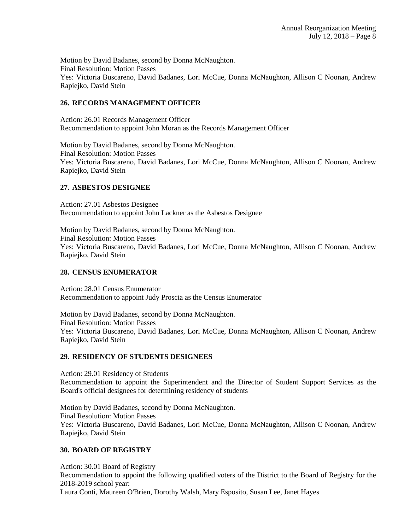# **26. RECORDS MANAGEMENT OFFICER**

Action: 26.01 Records Management Officer Recommendation to appoint John Moran as the Records Management Officer

Motion by David Badanes, second by Donna McNaughton. Final Resolution: Motion Passes Yes: Victoria Buscareno, David Badanes, Lori McCue, Donna McNaughton, Allison C Noonan, Andrew Rapiejko, David Stein

## **27. ASBESTOS DESIGNEE**

Action: 27.01 Asbestos Designee Recommendation to appoint John Lackner as the Asbestos Designee

Motion by David Badanes, second by Donna McNaughton. Final Resolution: Motion Passes Yes: Victoria Buscareno, David Badanes, Lori McCue, Donna McNaughton, Allison C Noonan, Andrew Rapiejko, David Stein

# **28. CENSUS ENUMERATOR**

Action: 28.01 Census Enumerator Recommendation to appoint Judy Proscia as the Census Enumerator

Motion by David Badanes, second by Donna McNaughton. Final Resolution: Motion Passes Yes: Victoria Buscareno, David Badanes, Lori McCue, Donna McNaughton, Allison C Noonan, Andrew Rapiejko, David Stein

### **29. RESIDENCY OF STUDENTS DESIGNEES**

Action: 29.01 Residency of Students Recommendation to appoint the Superintendent and the Director of Student Support Services as the Board's official designees for determining residency of students

Motion by David Badanes, second by Donna McNaughton. Final Resolution: Motion Passes Yes: Victoria Buscareno, David Badanes, Lori McCue, Donna McNaughton, Allison C Noonan, Andrew Rapiejko, David Stein

### **30. BOARD OF REGISTRY**

Action: 30.01 Board of Registry Recommendation to appoint the following qualified voters of the District to the Board of Registry for the 2018-2019 school year: Laura Conti, Maureen O'Brien, Dorothy Walsh, Mary Esposito, Susan Lee, Janet Hayes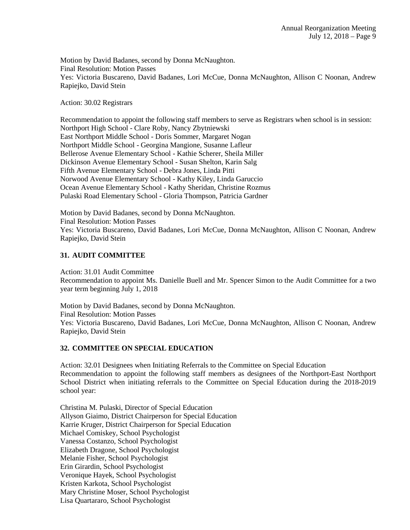Action: 30.02 Registrars

Recommendation to appoint the following staff members to serve as Registrars when school is in session: Northport High School - Clare Roby, Nancy Zbytniewski East Northport Middle School - Doris Sommer, Margaret Nogan Northport Middle School - Georgina Mangione, Susanne Lafleur Bellerose Avenue Elementary School - Kathie Scherer, Sheila Miller Dickinson Avenue Elementary School - Susan Shelton, Karin Salg Fifth Avenue Elementary School - Debra Jones, Linda Pitti Norwood Avenue Elementary School - Kathy Kiley, Linda Garuccio Ocean Avenue Elementary School - Kathy Sheridan, Christine Rozmus Pulaski Road Elementary School - Gloria Thompson, Patricia Gardner

Motion by David Badanes, second by Donna McNaughton. Final Resolution: Motion Passes Yes: Victoria Buscareno, David Badanes, Lori McCue, Donna McNaughton, Allison C Noonan, Andrew Rapiejko, David Stein

## **31. AUDIT COMMITTEE**

Action: 31.01 Audit Committee Recommendation to appoint Ms. Danielle Buell and Mr. Spencer Simon to the Audit Committee for a two year term beginning July 1, 2018

Motion by David Badanes, second by Donna McNaughton. Final Resolution: Motion Passes Yes: Victoria Buscareno, David Badanes, Lori McCue, Donna McNaughton, Allison C Noonan, Andrew Rapiejko, David Stein

# **32. COMMITTEE ON SPECIAL EDUCATION**

Action: 32.01 Designees when Initiating Referrals to the Committee on Special Education Recommendation to appoint the following staff members as designees of the Northport-East Northport School District when initiating referrals to the Committee on Special Education during the 2018-2019 school year:

Christina M. Pulaski, Director of Special Education Allyson Giaimo, District Chairperson for Special Education Karrie Kruger, District Chairperson for Special Education Michael Comiskey, School Psychologist Vanessa Costanzo, School Psychologist Elizabeth Dragone, School Psychologist Melanie Fisher, School Psychologist Erin Girardin, School Psychologist Veronique Hayek, School Psychologist Kristen Karkota, School Psychologist Mary Christine Moser, School Psychologist Lisa Quartararo, School Psychologist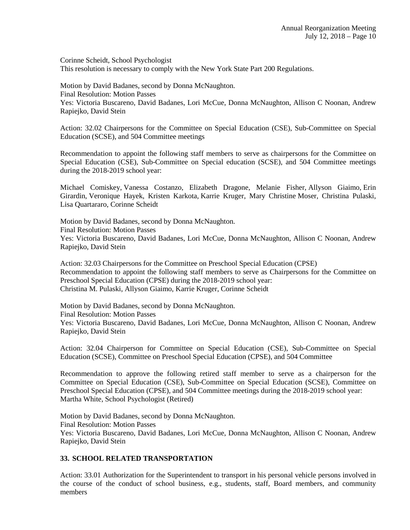Corinne Scheidt, School Psychologist This resolution is necessary to comply with the New York State Part 200 Regulations.

Motion by David Badanes, second by Donna McNaughton. Final Resolution: Motion Passes Yes: Victoria Buscareno, David Badanes, Lori McCue, Donna McNaughton, Allison C Noonan, Andrew Rapiejko, David Stein

Action: 32.02 Chairpersons for the Committee on Special Education (CSE), Sub-Committee on Special Education (SCSE), and 504 Committee meetings

Recommendation to appoint the following staff members to serve as chairpersons for the Committee on Special Education (CSE), Sub-Committee on Special education (SCSE), and 504 Committee meetings during the 2018-2019 school year:

Michael Comiskey, Vanessa Costanzo, Elizabeth Dragone, Melanie Fisher, Allyson Giaimo, Erin Girardin, Veronique Hayek, Kristen Karkota, Karrie Kruger, Mary Christine Moser, Christina Pulaski, Lisa Quartararo, Corinne Scheidt

Motion by David Badanes, second by Donna McNaughton. Final Resolution: Motion Passes Yes: Victoria Buscareno, David Badanes, Lori McCue, Donna McNaughton, Allison C Noonan, Andrew Rapiejko, David Stein

Action: 32.03 Chairpersons for the Committee on Preschool Special Education (CPSE) Recommendation to appoint the following staff members to serve as Chairpersons for the Committee on Preschool Special Education (CPSE) during the 2018-2019 school year: Christina M. Pulaski, Allyson Giaimo, Karrie Kruger, Corinne Scheidt

Motion by David Badanes, second by Donna McNaughton. Final Resolution: Motion Passes Yes: Victoria Buscareno, David Badanes, Lori McCue, Donna McNaughton, Allison C Noonan, Andrew Rapiejko, David Stein

Action: 32.04 Chairperson for Committee on Special Education (CSE), Sub-Committee on Special Education (SCSE), Committee on Preschool Special Education (CPSE), and 504 Committee

Recommendation to approve the following retired staff member to serve as a chairperson for the Committee on Special Education (CSE), Sub-Committee on Special Education (SCSE), Committee on Preschool Special Education (CPSE), and 504 Committee meetings during the 2018-2019 school year: Martha White, School Psychologist (Retired)

Motion by David Badanes, second by Donna McNaughton. Final Resolution: Motion Passes Yes: Victoria Buscareno, David Badanes, Lori McCue, Donna McNaughton, Allison C Noonan, Andrew Rapiejko, David Stein

### **33. SCHOOL RELATED TRANSPORTATION**

Action: 33.01 Authorization for the Superintendent to transport in his personal vehicle persons involved in the course of the conduct of school business, e.g., students, staff, Board members, and community members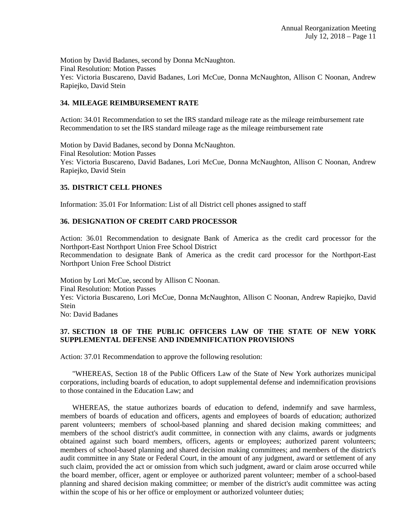## **34. MILEAGE REIMBURSEMENT RATE**

Action: 34.01 Recommendation to set the IRS standard mileage rate as the mileage reimbursement rate Recommendation to set the IRS standard mileage rage as the mileage reimbursement rate

Motion by David Badanes, second by Donna McNaughton. Final Resolution: Motion Passes Yes: Victoria Buscareno, David Badanes, Lori McCue, Donna McNaughton, Allison C Noonan, Andrew Rapiejko, David Stein

# **35. DISTRICT CELL PHONES**

Information: 35.01 For Information: List of all District cell phones assigned to staff

## **36. DESIGNATION OF CREDIT CARD PROCESSOR**

Action: 36.01 Recommendation to designate Bank of America as the credit card processor for the Northport-East Northport Union Free School District

Recommendation to designate Bank of America as the credit card processor for the Northport-East Northport Union Free School District

Motion by Lori McCue, second by Allison C Noonan. Final Resolution: Motion Passes Yes: Victoria Buscareno, Lori McCue, Donna McNaughton, Allison C Noonan, Andrew Rapiejko, David Stein No: David Badanes

## **37. SECTION 18 OF THE PUBLIC OFFICERS LAW OF THE STATE OF NEW YORK SUPPLEMENTAL DEFENSE AND INDEMNIFICATION PROVISIONS**

Action: 37.01 Recommendation to approve the following resolution:

 "WHEREAS, Section 18 of the Public Officers Law of the State of New York authorizes municipal corporations, including boards of education, to adopt supplemental defense and indemnification provisions to those contained in the Education Law; and

 WHEREAS, the statue authorizes boards of education to defend, indemnify and save harmless, members of boards of education and officers, agents and employees of boards of education; authorized parent volunteers; members of school-based planning and shared decision making committees; and members of the school district's audit committee, in connection with any claims, awards or judgments obtained against such board members, officers, agents or employees; authorized parent volunteers; members of school-based planning and shared decision making committees; and members of the district's audit committee in any State or Federal Court, in the amount of any judgment, award or settlement of any such claim, provided the act or omission from which such judgment, award or claim arose occurred while the board member, officer, agent or employee or authorized parent volunteer; member of a school-based planning and shared decision making committee; or member of the district's audit committee was acting within the scope of his or her office or employment or authorized volunteer duties;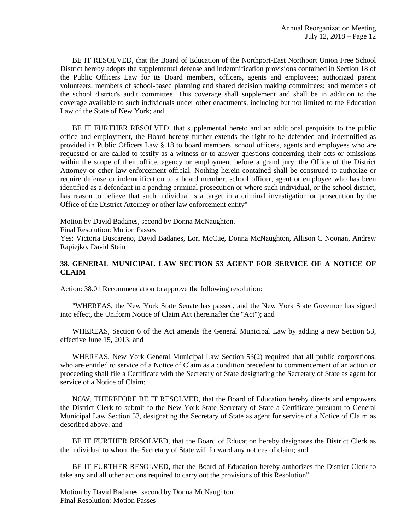BE IT RESOLVED, that the Board of Education of the Northport-East Northport Union Free School District hereby adopts the supplemental defense and indemnification provisions contained in Section 18 of the Public Officers Law for its Board members, officers, agents and employees; authorized parent volunteers; members of school-based planning and shared decision making committees; and members of the school district's audit committee. This coverage shall supplement and shall be in addition to the coverage available to such individuals under other enactments, including but not limited to the Education Law of the State of New York; and

 BE IT FURTHER RESOLVED, that supplemental hereto and an additional perquisite to the public office and employment, the Board hereby further extends the right to be defended and indemnified as provided in Public Officers Law § 18 to board members, school officers, agents and employees who are requested or are called to testify as a witness or to answer questions concerning their acts or omissions within the scope of their office, agency or employment before a grand jury, the Office of the District Attorney or other law enforcement official. Nothing herein contained shall be construed to authorize or require defense or indemnification to a board member, school officer, agent or employee who has been identified as a defendant in a pending criminal prosecution or where such individual, or the school district, has reason to believe that such individual is a target in a criminal investigation or prosecution by the Office of the District Attorney or other law enforcement entity"

Motion by David Badanes, second by Donna McNaughton.

Final Resolution: Motion Passes

Yes: Victoria Buscareno, David Badanes, Lori McCue, Donna McNaughton, Allison C Noonan, Andrew Rapiejko, David Stein

### **38. GENERAL MUNICIPAL LAW SECTION 53 AGENT FOR SERVICE OF A NOTICE OF CLAIM**

Action: 38.01 Recommendation to approve the following resolution:

 "WHEREAS, the New York State Senate has passed, and the New York State Governor has signed into effect, the Uniform Notice of Claim Act (hereinafter the "Act"); and

 WHEREAS, Section 6 of the Act amends the General Municipal Law by adding a new Section 53, effective June 15, 2013; and

 WHEREAS, New York General Municipal Law Section 53(2) required that all public corporations, who are entitled to service of a Notice of Claim as a condition precedent to commencement of an action or proceeding shall file a Certificate with the Secretary of State designating the Secretary of State as agent for service of a Notice of Claim:

 NOW, THEREFORE BE IT RESOLVED, that the Board of Education hereby directs and empowers the District Clerk to submit to the New York State Secretary of State a Certificate pursuant to General Municipal Law Section 53, designating the Secretary of State as agent for service of a Notice of Claim as described above; and

 BE IT FURTHER RESOLVED, that the Board of Education hereby designates the District Clerk as the individual to whom the Secretary of State will forward any notices of claim; and

 BE IT FURTHER RESOLVED, that the Board of Education hereby authorizes the District Clerk to take any and all other actions required to carry out the provisions of this Resolution"

Motion by David Badanes, second by Donna McNaughton. Final Resolution: Motion Passes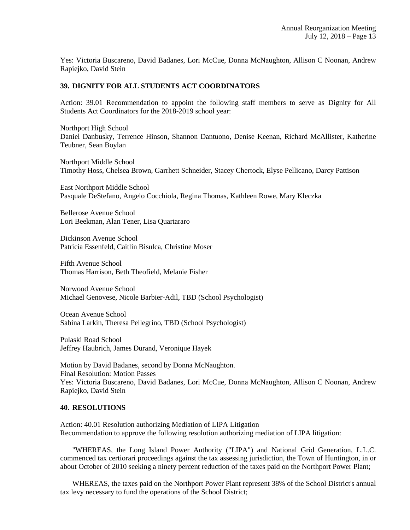Yes: Victoria Buscareno, David Badanes, Lori McCue, Donna McNaughton, Allison C Noonan, Andrew Rapiejko, David Stein

## **39. DIGNITY FOR ALL STUDENTS ACT COORDINATORS**

Action: 39.01 Recommendation to appoint the following staff members to serve as Dignity for All Students Act Coordinators for the 2018-2019 school year:

Northport High School Daniel Danbusky, Terrence Hinson, Shannon Dantuono, Denise Keenan, Richard McAllister, Katherine Teubner, Sean Boylan

Northport Middle School Timothy Hoss, Chelsea Brown, Garrhett Schneider, Stacey Chertock, Elyse Pellicano, Darcy Pattison

East Northport Middle School Pasquale DeStefano, Angelo Cocchiola, Regina Thomas, Kathleen Rowe, Mary Kleczka

Bellerose Avenue School Lori Beekman, Alan Tener, Lisa Quartararo

Dickinson Avenue School Patricia Essenfeld, Caitlin Bisulca, Christine Moser

Fifth Avenue School Thomas Harrison, Beth Theofield, Melanie Fisher

Norwood Avenue School Michael Genovese, Nicole Barbier-Adil, TBD (School Psychologist)

Ocean Avenue School Sabina Larkin, Theresa Pellegrino, TBD (School Psychologist)

Pulaski Road School Jeffrey Haubrich, James Durand, Veronique Hayek

Motion by David Badanes, second by Donna McNaughton. Final Resolution: Motion Passes Yes: Victoria Buscareno, David Badanes, Lori McCue, Donna McNaughton, Allison C Noonan, Andrew Rapiejko, David Stein

#### **40. RESOLUTIONS**

Action: 40.01 Resolution authorizing Mediation of LIPA Litigation Recommendation to approve the following resolution authorizing mediation of LIPA litigation:

 "WHEREAS, the Long Island Power Authority ("LIPA") and National Grid Generation, L.L.C. commenced tax certiorari proceedings against the tax assessing jurisdiction, the Town of Huntington, in or about October of 2010 seeking a ninety percent reduction of the taxes paid on the Northport Power Plant;

 WHEREAS, the taxes paid on the Northport Power Plant represent 38% of the School District's annual tax levy necessary to fund the operations of the School District;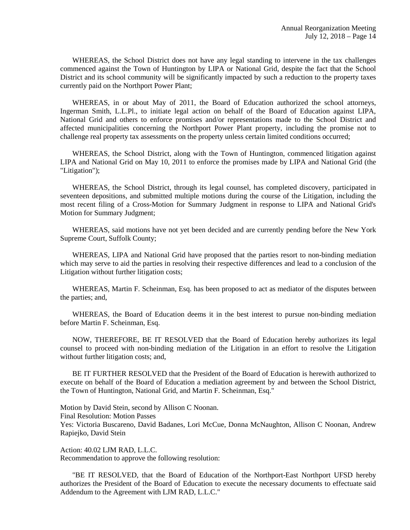WHEREAS, the School District does not have any legal standing to intervene in the tax challenges commenced against the Town of Huntington by LIPA or National Grid, despite the fact that the School District and its school community will be significantly impacted by such a reduction to the property taxes currently paid on the Northport Power Plant;

 WHEREAS, in or about May of 2011, the Board of Education authorized the school attorneys, Ingerman Smith, L.L.Pl., to initiate legal action on behalf of the Board of Education against LIPA, National Grid and others to enforce promises and/or representations made to the School District and affected municipalities concerning the Northport Power Plant property, including the promise not to challenge real property tax assessments on the property unless certain limited conditions occurred;

 WHEREAS, the School District, along with the Town of Huntington, commenced litigation against LIPA and National Grid on May 10, 2011 to enforce the promises made by LIPA and National Grid (the "Litigation");

 WHEREAS, the School District, through its legal counsel, has completed discovery, participated in seventeen depositions, and submitted multiple motions during the course of the Litigation, including the most recent filing of a Cross-Motion for Summary Judgment in response to LIPA and National Grid's Motion for Summary Judgment;

 WHEREAS, said motions have not yet been decided and are currently pending before the New York Supreme Court, Suffolk County;

 WHEREAS, LIPA and National Grid have proposed that the parties resort to non-binding mediation which may serve to aid the parties in resolving their respective differences and lead to a conclusion of the Litigation without further litigation costs;

 WHEREAS, Martin F. Scheinman, Esq. has been proposed to act as mediator of the disputes between the parties; and,

 WHEREAS, the Board of Education deems it in the best interest to pursue non-binding mediation before Martin F. Scheinman, Esq.

 NOW, THEREFORE, BE IT RESOLVED that the Board of Education hereby authorizes its legal counsel to proceed with non-binding mediation of the Litigation in an effort to resolve the Litigation without further litigation costs; and,

 BE IT FURTHER RESOLVED that the President of the Board of Education is herewith authorized to execute on behalf of the Board of Education a mediation agreement by and between the School District, the Town of Huntington, National Grid, and Martin F. Scheinman, Esq."

Motion by David Stein, second by Allison C Noonan. Final Resolution: Motion Passes Yes: Victoria Buscareno, David Badanes, Lori McCue, Donna McNaughton, Allison C Noonan, Andrew Rapiejko, David Stein

Action: 40.02 LJM RAD, L.L.C. Recommendation to approve the following resolution:

 "BE IT RESOLVED, that the Board of Education of the Northport-East Northport UFSD hereby authorizes the President of the Board of Education to execute the necessary documents to effectuate said Addendum to the Agreement with LJM RAD, L.L.C."